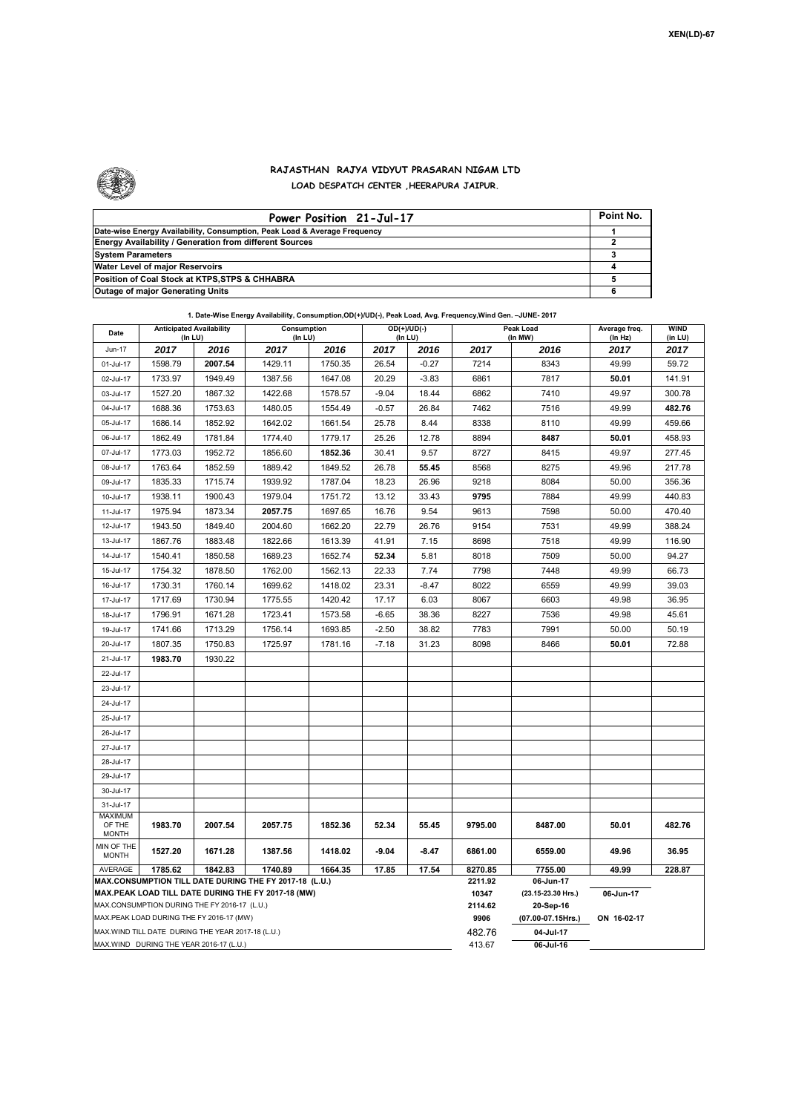

## **RAJASTHAN RAJYA VIDYUT PRASARAN NIGAM LTD LOAD DESPATCH CENTER ,HEERAPURA JAIPUR.**

| Power Position 21-Jul-17                                                  | Point No. |
|---------------------------------------------------------------------------|-----------|
| Date-wise Energy Availability, Consumption, Peak Load & Average Frequency |           |
| <b>Energy Availability / Generation from different Sources</b>            |           |
| <b>System Parameters</b>                                                  |           |
| Water Level of major Reservoirs                                           |           |
| Position of Coal Stock at KTPS, STPS & CHHABRA                            |           |
| <b>Outage of major Generating Units</b>                                   |           |

| Date                                                                                                         | <b>Anticipated Availability</b> |                 | Consumption     |                 | $OD(+)/UD(-)$ |                 |                  | Peak Load                       | Average freq. | <b>WIND</b>   |
|--------------------------------------------------------------------------------------------------------------|---------------------------------|-----------------|-----------------|-----------------|---------------|-----------------|------------------|---------------------------------|---------------|---------------|
| Jun-17                                                                                                       | (In LU)                         |                 | (In LU)         |                 |               | (In LU)         |                  | (In MW)                         | (In Hz)       | (in LU)       |
| 01-Jul-17                                                                                                    | 2017<br>1598.79                 | 2016<br>2007.54 | 2017<br>1429.11 | 2016<br>1750.35 | 2017<br>26.54 | 2016<br>$-0.27$ | 2017<br>7214     | 2016<br>8343                    | 2017<br>49.99 | 2017<br>59.72 |
| 02-Jul-17                                                                                                    | 1733.97                         | 1949.49         | 1387.56         | 1647.08         | 20.29         | $-3.83$         | 6861             | 7817                            | 50.01         | 141.91        |
| 03-Jul-17                                                                                                    | 1527.20                         | 1867.32         | 1422.68         | 1578.57         | $-9.04$       | 18.44           | 6862             | 7410                            | 49.97         | 300.78        |
| 04-Jul-17                                                                                                    | 1688.36                         | 1753.63         | 1480.05         | 1554.49         | $-0.57$       | 26.84           | 7462             | 7516                            | 49.99         | 482.76        |
| 05-Jul-17                                                                                                    | 1686.14                         | 1852.92         | 1642.02         | 1661.54         | 25.78         | 8.44            | 8338             | 8110                            | 49.99         | 459.66        |
| 06-Jul-17                                                                                                    | 1862.49                         | 1781.84         | 1774.40         | 1779.17         | 25.26         | 12.78           | 8894             | 8487                            | 50.01         | 458.93        |
| 07-Jul-17                                                                                                    | 1773.03                         | 1952.72         | 1856.60         | 1852.36         | 30.41         | 9.57            | 8727             | 8415                            | 49.97         | 277.45        |
| 08-Jul-17                                                                                                    | 1763.64                         | 1852.59         | 1889.42         | 1849.52         | 26.78         | 55.45           | 8568             | 8275                            | 49.96         | 217.78        |
| 09-Jul-17                                                                                                    | 1835.33                         | 1715.74         | 1939.92         | 1787.04         | 18.23         | 26.96           | 9218             | 8084                            | 50.00         | 356.36        |
| 10-Jul-17                                                                                                    | 1938.11                         | 1900.43         | 1979.04         | 1751.72         | 13.12         | 33.43           | 9795             | 7884                            | 49.99         | 440.83        |
| 11-Jul-17                                                                                                    | 1975.94                         | 1873.34         | 2057.75         | 1697.65         | 16.76         | 9.54            | 9613             | 7598                            | 50.00         | 470.40        |
| 12-Jul-17                                                                                                    | 1943.50                         | 1849.40         | 2004.60         | 1662.20         | 22.79         | 26.76           | 9154             | 7531                            | 49.99         | 388.24        |
| 13-Jul-17                                                                                                    | 1867.76                         | 1883.48         | 1822.66         | 1613.39         | 41.91         | 7.15            | 8698             | 7518                            | 49.99         | 116.90        |
| 14-Jul-17                                                                                                    | 1540.41                         | 1850.58         | 1689.23         | 1652.74         | 52.34         | 5.81            | 8018             | 7509                            | 50.00         | 94.27         |
| 15-Jul-17                                                                                                    | 1754.32                         | 1878.50         | 1762.00         | 1562.13         | 22.33         | 7.74            | 7798             | 7448                            | 49.99         | 66.73         |
| 16-Jul-17                                                                                                    | 1730.31                         | 1760.14         | 1699.62         | 1418.02         | 23.31         | $-8.47$         | 8022             | 6559                            | 49.99         | 39.03         |
| 17-Jul-17                                                                                                    | 1717.69                         | 1730.94         | 1775.55         | 1420.42         | 17.17         | 6.03            | 8067             | 6603                            | 49.98         | 36.95         |
| 18-Jul-17                                                                                                    | 1796.91                         | 1671.28         | 1723.41         | 1573.58         | $-6.65$       | 38.36           | 8227             | 7536                            | 49.98         | 45.61         |
| 19-Jul-17                                                                                                    | 1741.66                         | 1713.29         | 1756.14         | 1693.85         | $-2.50$       | 38.82           | 7783             | 7991                            | 50.00         | 50.19         |
| 20-Jul-17                                                                                                    | 1807.35                         | 1750.83         | 1725.97         | 1781.16         | $-7.18$       | 31.23           | 8098             | 8466                            | 50.01         | 72.88         |
| 21-Jul-17                                                                                                    | 1983.70                         | 1930.22         |                 |                 |               |                 |                  |                                 |               |               |
| 22-Jul-17                                                                                                    |                                 |                 |                 |                 |               |                 |                  |                                 |               |               |
| 23-Jul-17                                                                                                    |                                 |                 |                 |                 |               |                 |                  |                                 |               |               |
| 24-Jul-17                                                                                                    |                                 |                 |                 |                 |               |                 |                  |                                 |               |               |
| 25-Jul-17                                                                                                    |                                 |                 |                 |                 |               |                 |                  |                                 |               |               |
| 26-Jul-17                                                                                                    |                                 |                 |                 |                 |               |                 |                  |                                 |               |               |
| 27-Jul-17                                                                                                    |                                 |                 |                 |                 |               |                 |                  |                                 |               |               |
| 28-Jul-17                                                                                                    |                                 |                 |                 |                 |               |                 |                  |                                 |               |               |
| 29-Jul-17                                                                                                    |                                 |                 |                 |                 |               |                 |                  |                                 |               |               |
| 30-Jul-17                                                                                                    |                                 |                 |                 |                 |               |                 |                  |                                 |               |               |
| 31-Jul-17                                                                                                    |                                 |                 |                 |                 |               |                 |                  |                                 |               |               |
| MAXIMUM<br>OF THE<br><b>MONTH</b>                                                                            | 1983.70                         | 2007.54         | 2057.75         | 1852.36         | 52.34         | 55.45           | 9795.00          | 8487.00                         | 50.01         | 482.76        |
| MIN OF THE<br><b>MONTH</b>                                                                                   | 1527.20                         | 1671.28         | 1387.56         | 1418.02         | $-9.04$       | $-8.47$         | 6861.00          | 6559.00                         | 49.96         | 36.95         |
| 1785.62<br>1842.83<br>1740.89<br>1664.35<br>17.85<br>17.54<br><b>AVERAGE</b>                                 |                                 |                 |                 |                 |               |                 |                  | 7755.00                         | 228.87        |               |
| MAX.CONSUMPTION TILL DATE DURING THE FY 2017-18 (L.U.)<br>MAX.PEAK LOAD TILL DATE DURING THE FY 2017-18 (MW) |                                 |                 |                 |                 |               |                 | 2211.92<br>10347 | 06-Jun-17<br>(23.15-23.30 Hrs.) |               |               |
| MAX.CONSUMPTION DURING THE FY 2016-17 (L.U.)                                                                 |                                 |                 |                 |                 |               |                 |                  | 20-Sep-16                       |               |               |
| MAX.PEAK LOAD DURING THE FY 2016-17 (MW)                                                                     |                                 |                 |                 |                 |               |                 |                  | (07.00-07.15Hrs.)               | ON 16-02-17   |               |
| MAX. WIND TILL DATE DURING THE YEAR 2017-18 (L.U.)                                                           |                                 |                 |                 |                 |               |                 | 482.76           | 04-Jul-17                       |               |               |
| MAX.WIND DURING THE YEAR 2016-17 (L.U.)                                                                      |                                 |                 |                 |                 |               |                 | 413.67           | 06-Jul-16                       |               |               |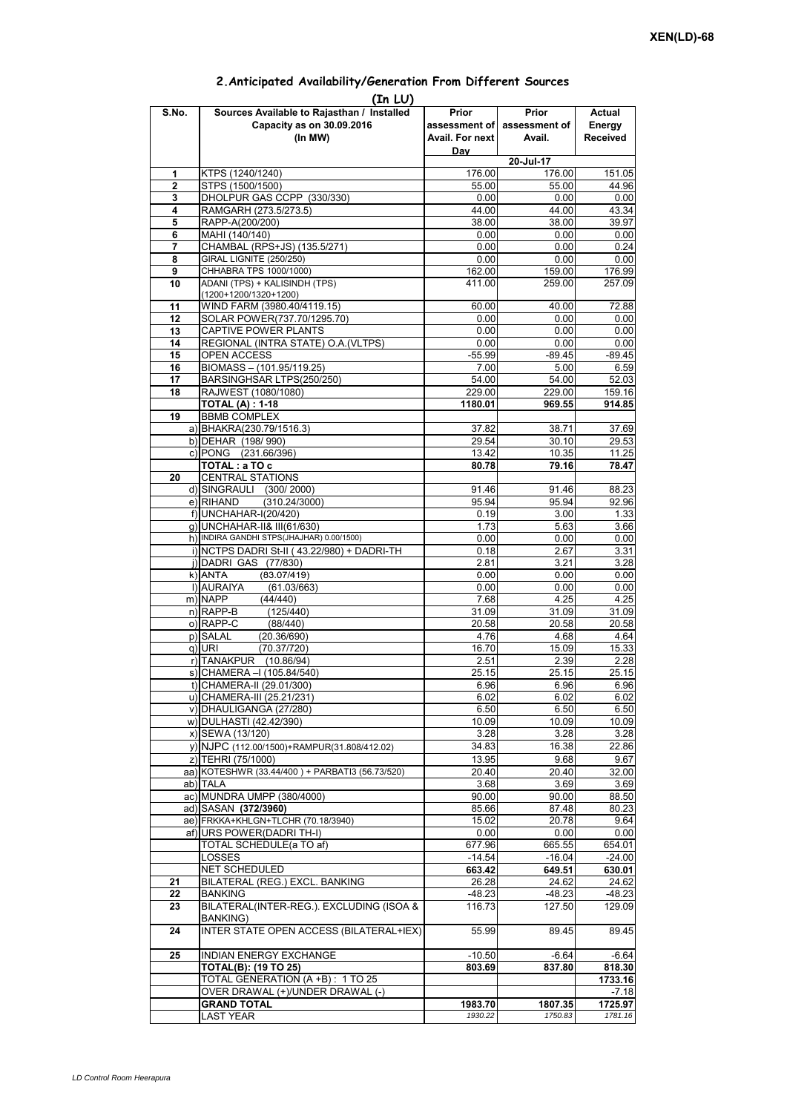## **Prior assessment of Avail. For next Day Prior assessment of Avail. Actual Energy Received**  1 **KTPS (1240/1240)** 176.00 176.00 176.00 151.05 **2** STPS (1500/1500) 55.00 55.00 44.96 **3** DHOLPUR GAS CCPP (330/330) **4** RAMGARH (273.5/273.5) 44.00 44.00 43.34<br> **5** RAPP-A(200/200) 43.97 **5** RAPP-A(200/200) **38.00** 38.00 38.00 **38.00 6** MAHI (140/140) 0.00 0.00 0.00 **7** CHAMBAL (RPS+JS) (135.5/271) 0.00 0.00 0.24 **8** GIRAL LIGNITE (250/250) **0.00** 0.00 0.00 0.00 0.00<br>**9** CHHABRA TPS 1000/1000) 162.00 162.00 176.99 **9** CHHABRA TPS 1000/1000) **10** ADANI (TPS) + KALISINDH (TPS) (1200+1200/1320+1200) 411.00 259.00 257.09 **11** WIND FARM (3980.40/4119.15) 60.00 40.00 72.88 12 SOLAR POWER(737.70/1295.70) 0.00 0.00 0.00 0.00 **13** CAPTIVE POWER PLANTS 0.00 0.00 0.00 0.00 **14** REGIONAL (INTRA STATE) O.A.(VLTPS) 0.00 0.00 0.00 0.00 0.00 15 OPEN ACCESS -55.99 -89.45 -89.45<br>16 BIOMASS – (101.95/119.25) - 7.00 5.00 6.59 **BIOMASS – (101.95/119.25)** 17 BARSINGHSAR LTPS(250/250) 54.00 54.00 52.03 **18** RAJWEST (1080/1080) 229.00 229.00 159.16 **TOTAL (A) : 1-18 1180.01 969.55 914.85 19** BBMB COMPLEX a) BHAKRA(230.79/1516.3) 37.82 38.71 37.69<br>b) DEHAR (198/990) 37.82 38.71 37.69 b) DEHAR (198/ 990) c) PONG (231.66/396) 13.42 10.35 11.25 **TOTAL : a TO c** 80.78 79.16 78.47 **20** CENTRAL STATIONS d) SINGRAULI (300/ 2000) 91.46 91.46 88.23  $(310.24/3000)$ f) 0.19 3.00 1.33 g) UNCHAHAR-II& III(61/630) 1.73 5.63 3.66 h) INDIRA GANDHI STPS(JHAJHAR) 0.00/1500) 0.00 0.00 0.00 0.00 0.00 0.00  $i)$  NCTPS DADRI St-II (43.22/980) + DADRI-TH 0.18 2.67 2.67 3.31 j) DADRI GAS (77/830) 2.81 3.21 3.28 k) ANTA (83 07/419) 0 00 0 00 0 00 **(In LU) S.No. Sources Available to Rajasthan / Installed Capacity as on 30.09.2016 (In MW) 20-Jul-17** ANTA (83.07/419)0.000.000.00l) AURAIYA (61.03/663) 0.00 0.00 0.00 m) NAPP (44/440) 7.68 4.25 4.25 n) RAPP-B (125/440) 31.09 31.09 31.09 31.09 o) RAPP-C (88/440) 20.58 20.58 20.58 p) SALAL (20.36/690) 4.76 4.68 4.64<br>q) URI (70.37/720) 4.670 15.09 15.33 q) URI (70.37/720) 16.70 15.09 15.33 r) TANAKPUR (10.86/94) 2.51 2.39 2.28<br>s) CHAMERA –I (105.84/540) 25.15 25.15 25.15 25.15  $\overline{s}$ ) CHAMERA –I (105.84/540) t) CHAMERA-II (29.01/300) 6.96 6.96 6.96 u) CHAMERA-III (25.21/231) 6.02 6.02 6.02 6.02 v) DHAULIGANGA (27/280) 6.50 6.50 6.50 6.50 w) DULHASTI (42.42/390) 10.09 10.09 10.09 10.09 x) SEWA (13/120) 3.28 3.28 3.28 y) NJPC (112.00/1500)+RAMPUR(31.808/412.02) z) TEHRI (75/1000) 13.95 9.68 9.67<br>a) KOTESHWR (33.44/400 ) + PARBATI3 (56.73/520) 20.40 20.40 20.40 32.00 aa) KOTESHWR (33.44/400) + PARBATI3 (56.73/520) ab) TALA 3.68 3.69 3.69 ac) MUNDRA UMPP (380/4000) 80.00 90.00 90.00 90.00 88.50 ad) SASAN **(372/3960)** 85.66 87.48 80.23<br>ae) FRKKA+KHLGN+TLCHR (70.18/3940) 85.66 15.02 20.78 9.64 ae) FRKKA+KHLGN+TLCHR (70.18/3940) af) URS POWER(DADRI TH-I) 2000 0.00 0.00 0.00 TOTAL SCHEDULE(a TO af) 677.96 665.55 654.01 LOSSES -14.54 -16.04 -24.00 NET SCHEDULED **663.42 649.51 630.01 21** BILATERAL (REG.) EXCL. BANKING **26.28** 24.62 24.62 24.62 **22** BANKING -48.23 -48.23 -48.23 **23** BILATERAL(INTER-REG.). EXCLUDING (ISOA & BANKING) 116.73 127.50 129.09 **24 INTER STATE OPEN ACCESS (BILATERAL+IEX) 55.99 89.45 89.45 25** INDIAN ENERGY EXCHANGE -10.50 -6.64 -6.64 **TOTAL(B): (19 TO 25) 803.69 837.80 818.30** TOTAL GENERATION (A +B) : 1 TO 25 **1733.16**<br>
OVER DRAWAL (+)/UNDER DRAWAL (-) 1733.16 OVER DRAWAL (+)/UNDER DRAWAL (-) **GRAND TOTAL 1983.70 1807.35 1725.97** LAST YEAR *1930.22 1750.83 1781.16*

## **2.Anticipated Availability/Generation From Different Sources**